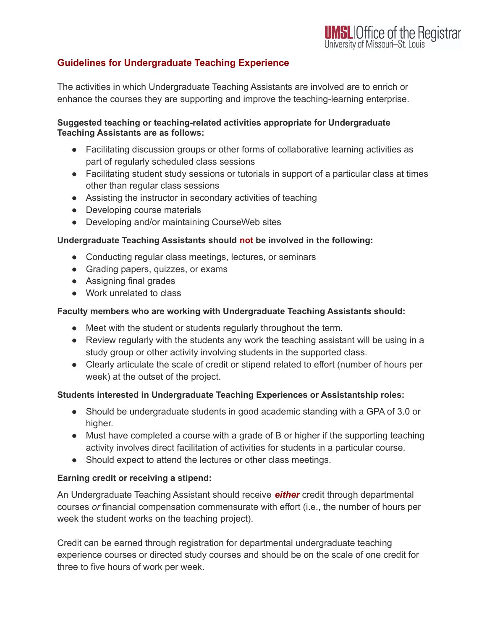# **Guidelines for Undergraduate Teaching Experience**

The activities in which Undergraduate Teaching Assistants are involved are to enrich or enhance the courses they are supporting and improve the teaching-learning enterprise.

#### **Suggested teaching or teaching-related activities appropriate for Undergraduate Teaching Assistants are as follows:**

- Facilitating discussion groups or other forms of collaborative learning activities as part of regularly scheduled class sessions
- Facilitating student study sessions or tutorials in support of a particular class at times other than regular class sessions
- Assisting the instructor in secondary activities of teaching
- Developing course materials
- Developing and/or maintaining CourseWeb sites

### **Undergraduate Teaching Assistants should not be involved in the following:**

- Conducting regular class meetings, lectures, or seminars
- Grading papers, quizzes, or exams
- Assigning final grades
- Work unrelated to class

## **Faculty members who are working with Undergraduate Teaching Assistants should:**

- Meet with the student or students regularly throughout the term.
- Review regularly with the students any work the teaching assistant will be using in a study group or other activity involving students in the supported class.
- Clearly articulate the scale of credit or stipend related to effort (number of hours per week) at the outset of the project.

### **Students interested in Undergraduate Teaching Experiences or Assistantship roles:**

- Should be undergraduate students in good academic standing with a GPA of 3.0 or higher.
- Must have completed a course with a grade of B or higher if the supporting teaching activity involves direct facilitation of activities for students in a particular course.
- Should expect to attend the lectures or other class meetings.

### **Earning credit or receiving a stipend:**

An Undergraduate Teaching Assistant should receive *either* credit through departmental courses *or* financial compensation commensurate with effort (i.e., the number of hours per week the student works on the teaching project).

Credit can be earned through registration for departmental undergraduate teaching experience courses or directed study courses and should be on the scale of one credit for three to five hours of work per week.